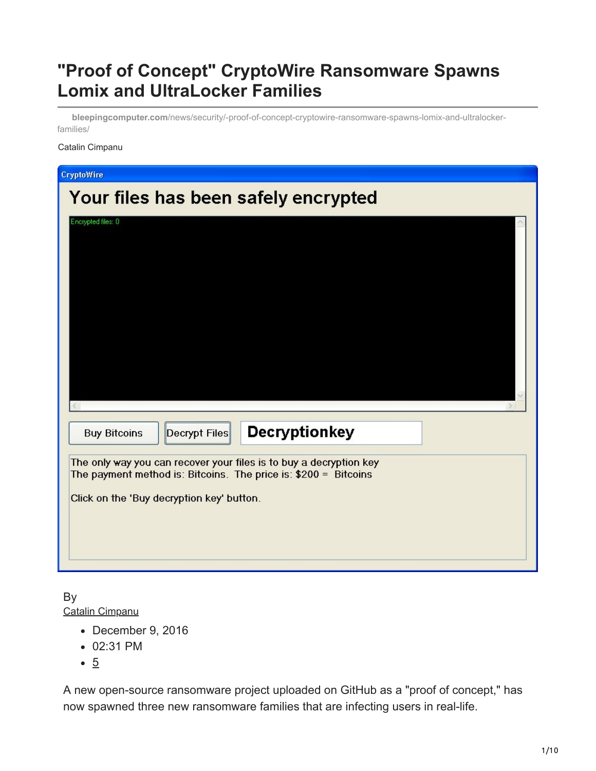# **"Proof of Concept" CryptoWire Ransomware Spawns Lomix and UltraLocker Families**

**bleepingcomputer.com**[/news/security/-proof-of-concept-cryptowire-ransomware-spawns-lomix-and-ultralocker](https://www.bleepingcomputer.com/news/security/-proof-of-concept-cryptowire-ransomware-spawns-lomix-and-ultralocker-families/)families/

#### Catalin Cimpanu

| <b>CryptoWire</b>                                                                                                                                                                  |  |
|------------------------------------------------------------------------------------------------------------------------------------------------------------------------------------|--|
| Your files has been safely encrypted                                                                                                                                               |  |
| Encrypted files: 0                                                                                                                                                                 |  |
| <b>Decryptionkey</b><br><b>Buy Bitcoins</b><br>Decrypt Files                                                                                                                       |  |
| The only way you can recover your files is to buy a decryption key<br>The payment method is: Bitcoins. The price is: \$200 = Bitcoins<br>Click on the 'Buy decryption key' button. |  |

By [Catalin Cimpanu](https://www.bleepingcomputer.com/author/catalin-cimpanu/)

- December 9, 2016
- 02:31 PM
- 5

A new open-source ransomware project uploaded on GitHub as a "proof of concept," has now spawned three new ransomware families that are infecting users in real-life.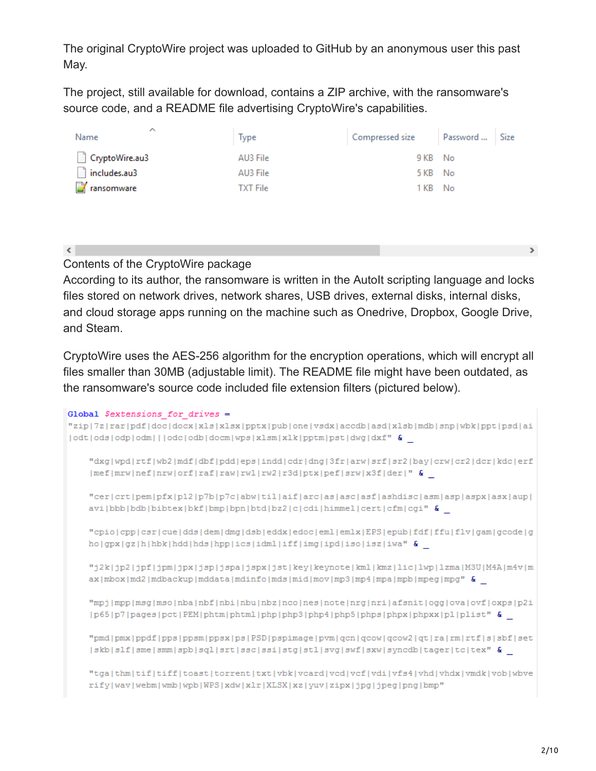The original CryptoWire project was uploaded to GitHub by an anonymous user this past May.

The project, still available for download, contains a ZIP archive, with the ransomware's source code, and a README file advertising CryptoWire's capabilities.

| ∧<br>Name           | <b>Type</b>     | Compressed size Password  Size |  |
|---------------------|-----------------|--------------------------------|--|
| CryptoWire.au3      | AU3 File        | 9 KB No                        |  |
| $\Box$ includes.au3 | AU3 File        | 5 KB No                        |  |
| <b>T</b> ransomware | <b>TXT File</b> | 1 KB No                        |  |
|                     |                 |                                |  |

 $\langle$ 

Contents of the CryptoWire package

According to its author, the ransomware is written in the AutoIt scripting language and locks files stored on network drives, network shares, USB drives, external disks, internal disks, and cloud storage apps running on the machine such as Onedrive, Dropbox, Google Drive, and Steam.

CryptoWire uses the AES-256 algorithm for the encryption operations, which will encrypt all files smaller than 30MB (adjustable limit). The README file might have been outdated, as the ransomware's source code included file extension filters (pictured below).

```
Global $extensions for drives =
"zip|7z|rar|pdf|doc|docx|xls|xlsx|pptx|pub|one|vsdx|accdb|asd|xlsb|mdb|snp|wbk|ppt|psd|ai
|odt|ods|odp|odm| |odc|odb|docm|wp|xlsm|xlk|ptm|pst|dwq|dxf" &
    "dxg|wpd|rtf|wb2|mdf|dbf|pdd|eps|indd|cdr|dng|3fr|arw|srf|sr2|bay|crw|cr2|dcr|kdc|erf
    |mef|mv|nef|nv|orf|raf|raw|vw1|rw2|r3d|ptx|pef|sw|x3f|der|''"cer|crt|pem|pfx|p12|p7b|p7c|abw|til|aif|arc|as|asc|asf|ashdisc|asm|asp|aspx|asx|aup|
    avi|bbb|bdb|bibtex|bkf|bmp|bpn|btd|bz2|c|cdi|himmel|cert|cfm|cgi" &
    "cpio|cpp|csr|cue|dds|dem|dmg|dsb|eddx|edoc|eml|emlx|EPS|epub|fdf|ffu|flv|gam|gcode|g
   ho|gx|gz|h|hhk|hdd|hds|hpp|ics|idm|iff|img|ipd|iso|isz|iwa" &
    "j2k|jp2|jpf|jpm|jpx|jsp|jspa|jspx|jst|key|keynote|kml|kmz|lic|lwp|lzma|M3U|M4A|m4v|m
    ax |mbox|md2|mdbackup|mddata|mdinfo|mds|mid|mov|mp3|mp4|mpa|mpb|mpeg|mpg| &
    "mpj|mpp|msg|mso|nba|nbf|nbi|nbu|nbz|nco|nes|note|nrg|nri|afsnit|ogg|ova|ovf|oxps|p2i
    |p65|p7|pages|pct|PEM|phtm|phtml|php|php3|php4|php5|phps|phpx|phpxx|pl|plist" &
    "pmd|pmx|ppdf|pps|ppsm|ppsx|ps|PSD|pspimage|pvm|qcn|qcow|qcow2|qt|ra|rm|rtf|s|sbf|set
    |skb|slf|sme|smm|spb|sql|srt|ssc|ssi|stg|stl|svg|swf|sxw|syncdb|tager|tc|tex" &
    "tga|thm|tif|tiff|toast|torrent|txt|vbk|vcard|vcd|vcf|vdi|vfs4|vhd|vhdx|vmdk|vob|wbve
    rify|wav|webm|wmb|wpb|WPS|xdw|xlr|XLSX|xz|yuv|zipx|jpg|jpeg|png|bmp"
```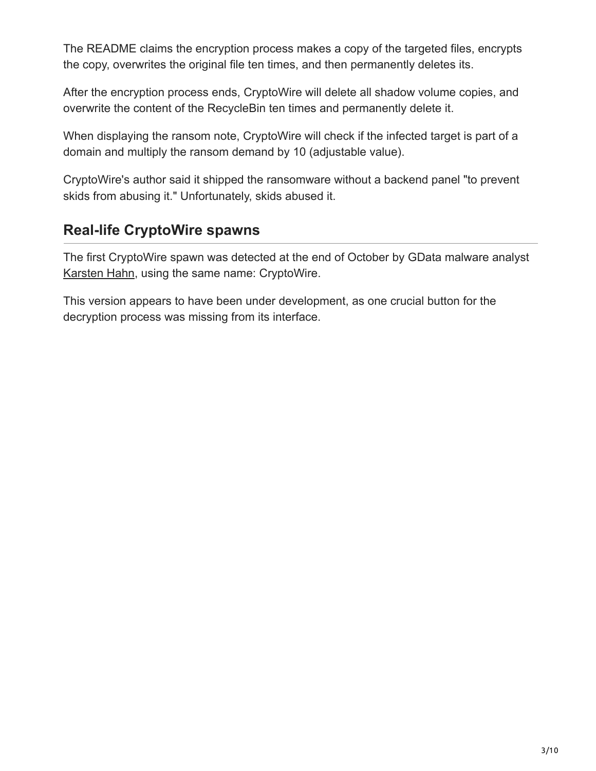The README claims the encryption process makes a copy of the targeted files, encrypts the copy, overwrites the original file ten times, and then permanently deletes its.

After the encryption process ends, CryptoWire will delete all shadow volume copies, and overwrite the content of the RecycleBin ten times and permanently delete it.

When displaying the ransom note, CryptoWire will check if the infected target is part of a domain and multiply the ransom demand by 10 (adjustable value).

CryptoWire's author said it shipped the ransomware without a backend panel "to prevent skids from abusing it." Unfortunately, skids abused it.

## **Real-life CryptoWire spawns**

The first CryptoWire spawn was detected at the end of October by GData malware analyst [Karsten Hahn](https://twitter.com/struppigel), using the same name: CryptoWire.

This version appears to have been under development, as one crucial button for the decryption process was missing from its interface.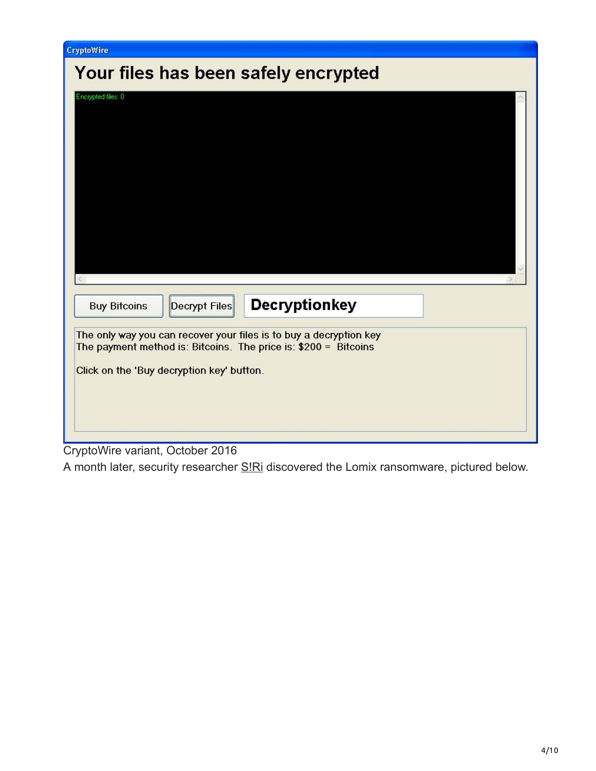| CryptoWire                                                                                                                                                                         |
|------------------------------------------------------------------------------------------------------------------------------------------------------------------------------------|
| Your files has been safely encrypted                                                                                                                                               |
| Encrypted files: 0                                                                                                                                                                 |
| <b>Decryptionkey</b><br>Decrypt Files<br><b>Buy Bitcoins</b>                                                                                                                       |
| The only way you can recover your files is to buy a decryption key<br>The payment method is: Bitcoins. The price is: \$200 = Bitcoins<br>Click on the 'Buy decryption key' button. |
| CryptoWire variant, October 2016                                                                                                                                                   |

A month later, security researcher **SIRi discovered the Lomix ransomware**, pictured below.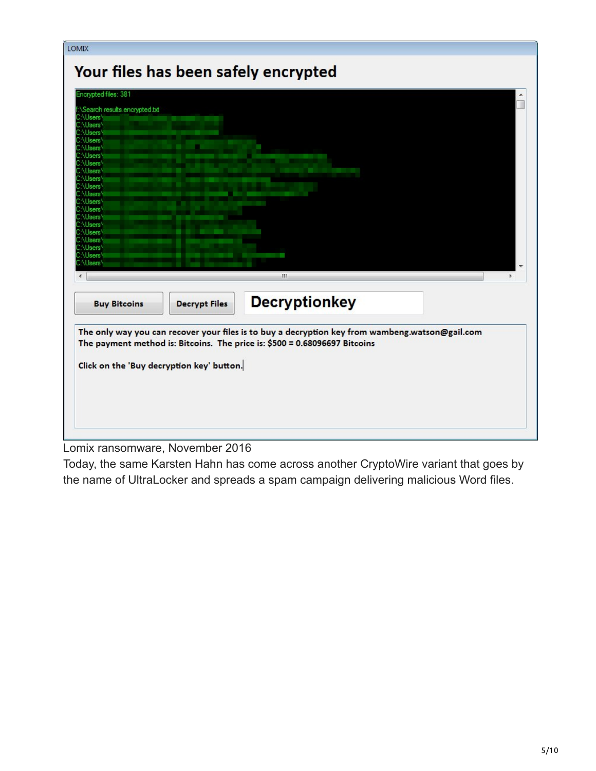| <b>LOMIX</b>                                         |                                           | Your files has been safely encrypted                                                                                                                                          |  |
|------------------------------------------------------|-------------------------------------------|-------------------------------------------------------------------------------------------------------------------------------------------------------------------------------|--|
| Encrypted files: 381                                 |                                           |                                                                                                                                                                               |  |
| Search results.encrypted.txt                         |                                           |                                                                                                                                                                               |  |
| <b>\Users</b><br>\Users\<br><b>\Users</b>            |                                           |                                                                                                                                                                               |  |
| <b>\Users</b><br><b>Users</b>                        |                                           |                                                                                                                                                                               |  |
| <b>\Users</b><br>Users <sup>1</sup><br><b>\Users</b> |                                           |                                                                                                                                                                               |  |
| <b>\Users</b><br><b>\Users</b>                       |                                           |                                                                                                                                                                               |  |
| Users <sup>'</sup><br><b>\Users</b>                  |                                           |                                                                                                                                                                               |  |
| <b>\Users</b><br><b>\Users</b><br><b>NUsers</b>      |                                           |                                                                                                                                                                               |  |
| <b>\Users</b><br><b>\Users</b>                       |                                           |                                                                                                                                                                               |  |
| <b>NUsers</b><br><b>\Users</b><br>:\Users\           |                                           |                                                                                                                                                                               |  |
|                                                      |                                           | m.                                                                                                                                                                            |  |
| <b>Buy Bitcoins</b>                                  | <b>Decrypt Files</b>                      | <b>Decryptionkey</b>                                                                                                                                                          |  |
|                                                      |                                           | The only way you can recover your files is to buy a decryption key from wambeng.watson@gail.com<br>The payment method is: Bitcoins. The price is: \$500 = 0.68096697 Bitcoins |  |
|                                                      |                                           |                                                                                                                                                                               |  |
|                                                      | Click on the 'Buy decryption key' button. |                                                                                                                                                                               |  |
|                                                      |                                           |                                                                                                                                                                               |  |
|                                                      |                                           |                                                                                                                                                                               |  |
|                                                      |                                           |                                                                                                                                                                               |  |

Lomix ransomware, November 2016

Today, the same Karsten Hahn has come across another CryptoWire variant that goes by the name of UltraLocker and spreads a spam campaign delivering malicious Word files.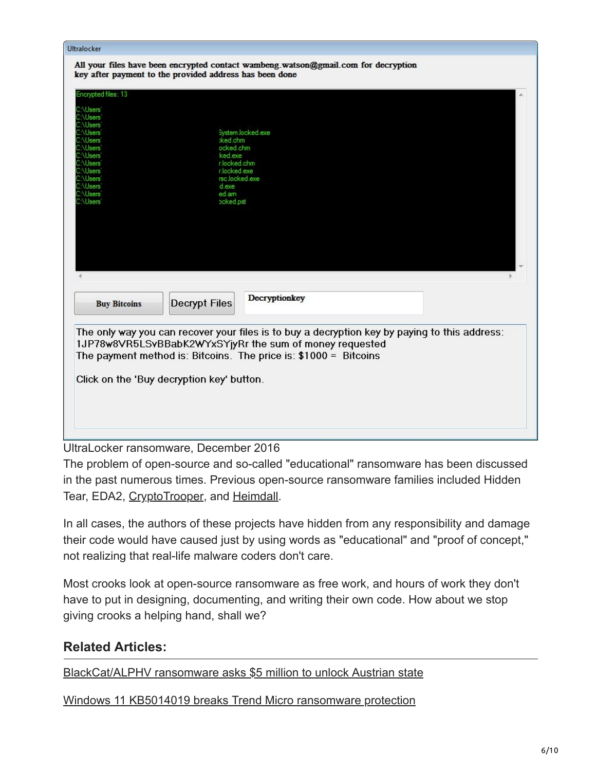| Ultralocker                                             |                      |                                                                                               |  |
|---------------------------------------------------------|----------------------|-----------------------------------------------------------------------------------------------|--|
|                                                         |                      | All your files have been encrypted contact wambeng watson@gmail.com for decryption            |  |
| key after payment to the provided address has been done |                      |                                                                                               |  |
|                                                         |                      |                                                                                               |  |
| Encrypted files: 13                                     |                      |                                                                                               |  |
| MUsers                                                  |                      |                                                                                               |  |
| <b>Users</b>                                            |                      |                                                                                               |  |
| <b>\Users</b>                                           |                      |                                                                                               |  |
| <b>\Users</b><br><b>\Users</b>                          | :ked.chm             | System.locked.exe                                                                             |  |
| <b>\Users</b>                                           | ocked.chm            |                                                                                               |  |
| <b>\Users</b>                                           | ked.exe              |                                                                                               |  |
| <b>\Users</b><br><b>\Users</b>                          | r.locked.exe         | r.locked.chm                                                                                  |  |
| <b>\Users</b>                                           |                      | rsc.locked.exe                                                                                |  |
| <b>\Users</b>                                           | d exe                |                                                                                               |  |
| <b>\Users</b><br><b>\Users</b>                          | ed.am                |                                                                                               |  |
|                                                         | pcked.pst            |                                                                                               |  |
|                                                         |                      |                                                                                               |  |
|                                                         |                      |                                                                                               |  |
|                                                         |                      |                                                                                               |  |
|                                                         |                      |                                                                                               |  |
|                                                         |                      |                                                                                               |  |
|                                                         |                      |                                                                                               |  |
|                                                         |                      |                                                                                               |  |
|                                                         |                      |                                                                                               |  |
|                                                         | <b>Decrypt Files</b> | Decryptionkey                                                                                 |  |
| <b>Buy Bitcoins</b>                                     |                      |                                                                                               |  |
|                                                         |                      |                                                                                               |  |
|                                                         |                      | The only way you can recover your files is to buy a decryption key by paying to this address: |  |
|                                                         |                      | 1JP78w8VR5LSvBBabK2WYxSYjyRr the sum of money requested                                       |  |
|                                                         |                      |                                                                                               |  |
|                                                         |                      | The payment method is: Bitcoins. The price is: \$1000 = Bitcoins                              |  |
|                                                         |                      |                                                                                               |  |
| Click on the 'Buy decryption key' button.               |                      |                                                                                               |  |
|                                                         |                      |                                                                                               |  |
|                                                         |                      |                                                                                               |  |
|                                                         |                      |                                                                                               |  |
|                                                         |                      |                                                                                               |  |
|                                                         |                      |                                                                                               |  |
|                                                         |                      | $\sim$ $\sim$ $\sim$                                                                          |  |

UltraLocker ransomware, December 2016

The problem of open-source and so-called "educational" ransomware has been discussed in the past numerous times. Previous open-source ransomware families included Hidden Tear, EDA2, [CryptoTrooper](http://news.softpedia.com/news/new-open-source-linux-ransomware-shows-infosec-community-divide-508669.shtml), and [Heimdall.](https://www.bleepingcomputer.com/news/security/heimdall-open-source-php-ransomware-targets-web-servers/)

In all cases, the authors of these projects have hidden from any responsibility and damage their code would have caused just by using words as "educational" and "proof of concept," not realizing that real-life malware coders don't care.

Most crooks look at open-source ransomware as free work, and hours of work they don't have to put in designing, documenting, and writing their own code. How about we stop giving crooks a helping hand, shall we?

### **Related Articles:**

[BlackCat/ALPHV ransomware asks \\$5 million to unlock Austrian state](https://www.bleepingcomputer.com/news/security/blackcat-alphv-ransomware-asks-5-million-to-unlock-austrian-state/)

[Windows 11 KB5014019 breaks Trend Micro ransomware protection](https://www.bleepingcomputer.com/news/security/windows-11-kb5014019-breaks-trend-micro-ransomware-protection/)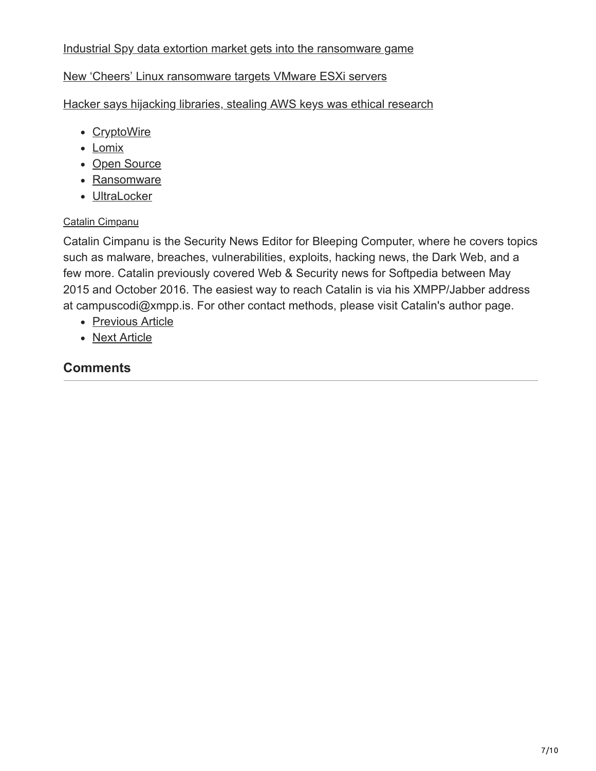#### [Industrial Spy data extortion market gets into the ransomware game](https://www.bleepingcomputer.com/news/security/industrial-spy-data-extortion-market-gets-into-the-ransomware-game/)

#### [New 'Cheers' Linux ransomware targets VMware ESXi servers](https://www.bleepingcomputer.com/news/security/new-cheers-linux-ransomware-targets-vmware-esxi-servers/)

[Hacker says hijacking libraries, stealing AWS keys was ethical research](https://www.bleepingcomputer.com/news/security/hacker-says-hijacking-libraries-stealing-aws-keys-was-ethical-research/)

- [CryptoWire](https://www.bleepingcomputer.com/tag/cryptowire/)
- [Lomix](https://www.bleepingcomputer.com/tag/lomix/)
- [Open Source](https://www.bleepingcomputer.com/tag/open-source/)
- [Ransomware](https://www.bleepingcomputer.com/tag/ransomware/)
- [UltraLocker](https://www.bleepingcomputer.com/tag/ultralocker/)

#### [Catalin Cimpanu](https://www.bleepingcomputer.com/author/catalin-cimpanu/)

Catalin Cimpanu is the Security News Editor for Bleeping Computer, where he covers topics such as malware, breaches, vulnerabilities, exploits, hacking news, the Dark Web, and a few more. Catalin previously covered Web & Security news for Softpedia between May 2015 and October 2016. The easiest way to reach Catalin is via his XMPP/Jabber address at campuscodi@xmpp.is. For other contact methods, please visit Catalin's author page.

- [Previous Article](https://www.bleepingcomputer.com/news/security/new-exo-android-trojan-sold-on-hacking-forums-dark-web/)
- [Next Article](https://www.bleepingcomputer.com/news/software/chrome-56-to-show-warnings-on-http-pages-with-payment-and-password-forms/)

### **Comments**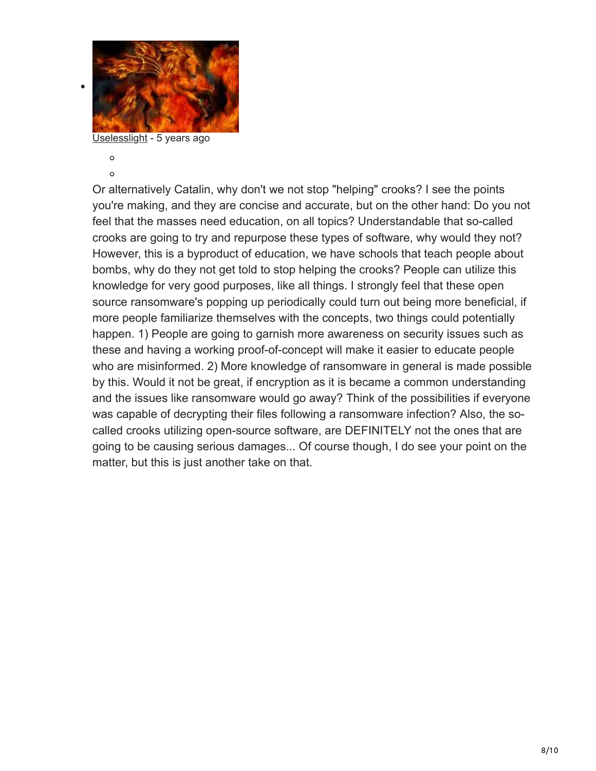

[Uselesslight](https://www.bleepingcomputer.com/forums/u/876055/uselesslight/) - 5 years ago

 $\circ$  $\circ$ 

Or alternatively Catalin, why don't we not stop "helping" crooks? I see the points you're making, and they are concise and accurate, but on the other hand: Do you not feel that the masses need education, on all topics? Understandable that so-called crooks are going to try and repurpose these types of software, why would they not? However, this is a byproduct of education, we have schools that teach people about bombs, why do they not get told to stop helping the crooks? People can utilize this knowledge for very good purposes, like all things. I strongly feel that these open source ransomware's popping up periodically could turn out being more beneficial, if more people familiarize themselves with the concepts, two things could potentially happen. 1) People are going to garnish more awareness on security issues such as these and having a working proof-of-concept will make it easier to educate people who are misinformed. 2) More knowledge of ransomware in general is made possible by this. Would it not be great, if encryption as it is became a common understanding and the issues like ransomware would go away? Think of the possibilities if everyone was capable of decrypting their files following a ransomware infection? Also, the socalled crooks utilizing open-source software, are DEFINITELY not the ones that are going to be causing serious damages... Of course though, I do see your point on the matter, but this is just another take on that.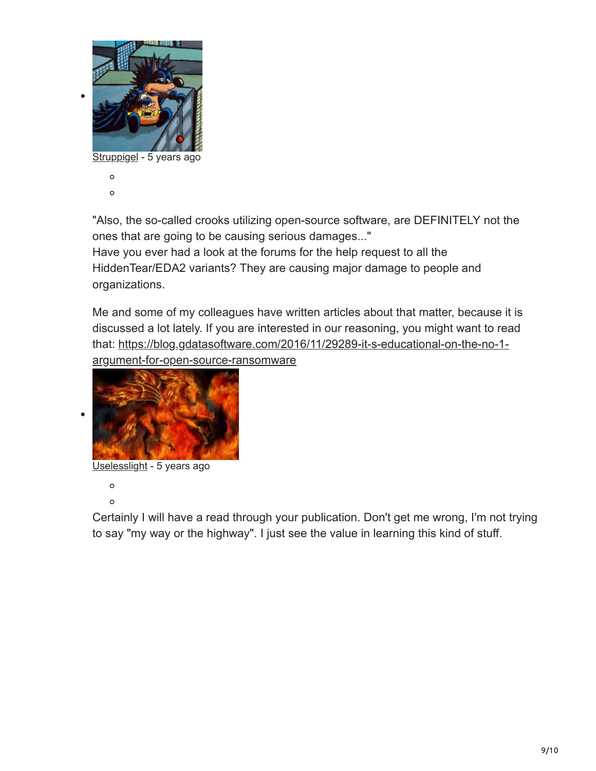

 $\circ$ 

"Also, the so-called crooks utilizing open-source software, are DEFINITELY not the ones that are going to be causing serious damages..."

Have you ever had a look at the forums for the help request to all the HiddenTear/EDA2 variants? They are causing major damage to people and organizations.

Me and some of my colleagues have written articles about that matter, because it is discussed a lot lately. If you are interested in our reasoning, you might want to read [that: https://blog.gdatasoftware.com/2016/11/29289-it-s-educational-on-the-no-1](https://blog.gdatasoftware.com/2016/11/29289-it-s-educational-on-the-no-1-argument-for-open-source-ransomware) argument-for-open-source-ransomware



[Uselesslight](https://www.bleepingcomputer.com/forums/u/876055/uselesslight/) - 5 years ago

 $\circ$  $\circ$ 

Certainly I will have a read through your publication. Don't get me wrong, I'm not trying to say "my way or the highway". I just see the value in learning this kind of stuff.